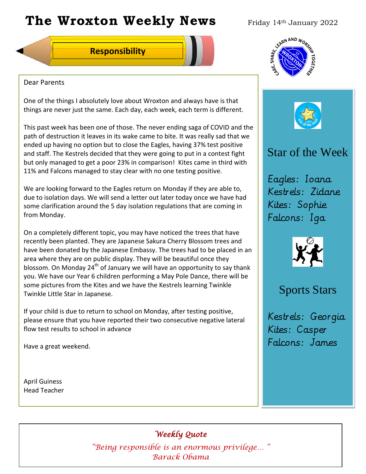# **The Wroxton Weekly News** Friday 14th January 2022

### **Responsibility**



#### Dear Parents

One of the things I absolutely love about Wroxton and always have is that things are never just the same. Each day, each week, each term is different.

This past week has been one of those. The never ending saga of COVID and the path of destruction it leaves in its wake came to bite. It was really sad that we ended up having no option but to close the Eagles, having 37% test positive and staff. The Kestrels decided that they were going to put in a contest fight but only managed to get a poor 23% in comparison! Kites came in third with 11% and Falcons managed to stay clear with no one testing positive.

We are looking forward to the Eagles return on Monday if they are able to, due to isolation days. We will send a letter out later today once we have had some clarification around the 5 day isolation regulations that are coming in from Monday.

On a completely different topic, you may have noticed the trees that have recently been planted. They are Japanese Sakura Cherry Blossom trees and have been donated by the Japanese Embassy. The trees had to be placed in an area where they are on public display. They will be beautiful once they blossom. On Monday  $24<sup>th</sup>$  of January we will have an opportunity to say thank you. We have our Year 6 children performing a May Pole Dance, there will be some pictures from the Kites and we have the Kestrels learning Twinkle Twinkle Little Star in Japanese.

If your child is due to return to school on Monday, after testing positive, please ensure that you have reported their two consecutive negative lateral flow test results to school in advance

Have a great weekend.

April Guiness Head Teacher





## Star of the Week

Eagles: Ioana Kestrels: Zidane Kites: Sophie Falcons: Iga



## Sports Stars

Kestrels: Georgia Kites: Casper Falcons: James

*Weekly Quote* 

**Oct 30 Nov 4 Dec 1** *"Being responsible is an enormous privilege… "*  **Fall Festival Teacher Day** *Barack Obama*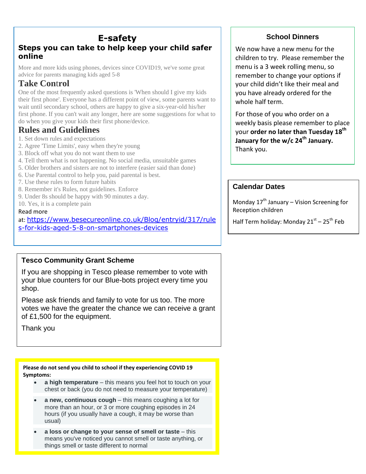## **E-safety**

## **Steps you can take to help keep your child safer online**

More and more kids using phones, devices since COVID19, we've some great advice for parents managing kids aged 5-8

## **Take Con**t**rol**

One of the most frequently asked questions is 'When should I give my kids their first phone'. Everyone has a different point of view, some parents want to wait until secondary school, others are happy to give a six-year-old his/her first phone. If you can't wait any longer, here are some suggestions for what to do when you give your kids their first phone/device.

## **Rules and Guidelines**

- 1. Set down rules and expectations
- 2. Agree 'Time Limits', easy when they're young
- 3. Block off what you do not want them to use
- 4. Tell them what is not happening. No social media, unsuitable games
- 5. Older brothers and sisters are not to interfere (easier said than done)
- 6. Use Parental control to help you, paid parental is best.
- 7. Use these rules to form future habits
- 8. Remember it's Rules, not guidelines. Enforce
- 9. Under 8s should be happy with 90 minutes a day.
- 10. Yes, it is a complete pain

#### Read more

at: [https://www.besecureonline.co.uk/Blog/entryid/317/rule](https://www.besecureonline.co.uk/Blog/entryid/317/rules-for-kids-aged-5-8-on-smartphones-devices) [s-for-kids-aged-5-8-on-smartphones-devices](https://www.besecureonline.co.uk/Blog/entryid/317/rules-for-kids-aged-5-8-on-smartphones-devices)

### **Tesco Community Grant Scheme**

If you are shopping in Tesco please remember to vote with your blue counters for our Blue-bots project every time you shop.

Please ask friends and family to vote for us too. The more votes we have the greater the chance we can receive a grant of £1,500 for the equipment.

Thank you

**Please do not send you child to school if they experiencing COVID 19 Symptoms:**

- **a high temperature** this means you feel hot to touch on your chest or back (you do not need to measure your temperature)
- **a new, continuous cough** this means coughing a lot for more than an hour, or 3 or more coughing episodes in 24 hours (if you usually have a cough, it may be worse than usual)
- **a loss or change to your sense of smell or taste** this means you've noticed you cannot smell or taste anything, or things smell or taste different to normal

## **School Dinners**

We now have a new menu for the children to try. Please remember the menu is a 3 week rolling menu, so remember to change your options if your child didn't like their meal and you have already ordered for the whole half term.

For those of you who order on a weekly basis please remember to place your **order no later than Tuesday 18 th January for the w/c 24th January.** Thank you.

#### **Calendar Dates**

Monday  $17<sup>th</sup>$  January – Vision Screening for Reception children

Half Term holiday: Monday 21<sup>st</sup> – 25<sup>th</sup> Feb